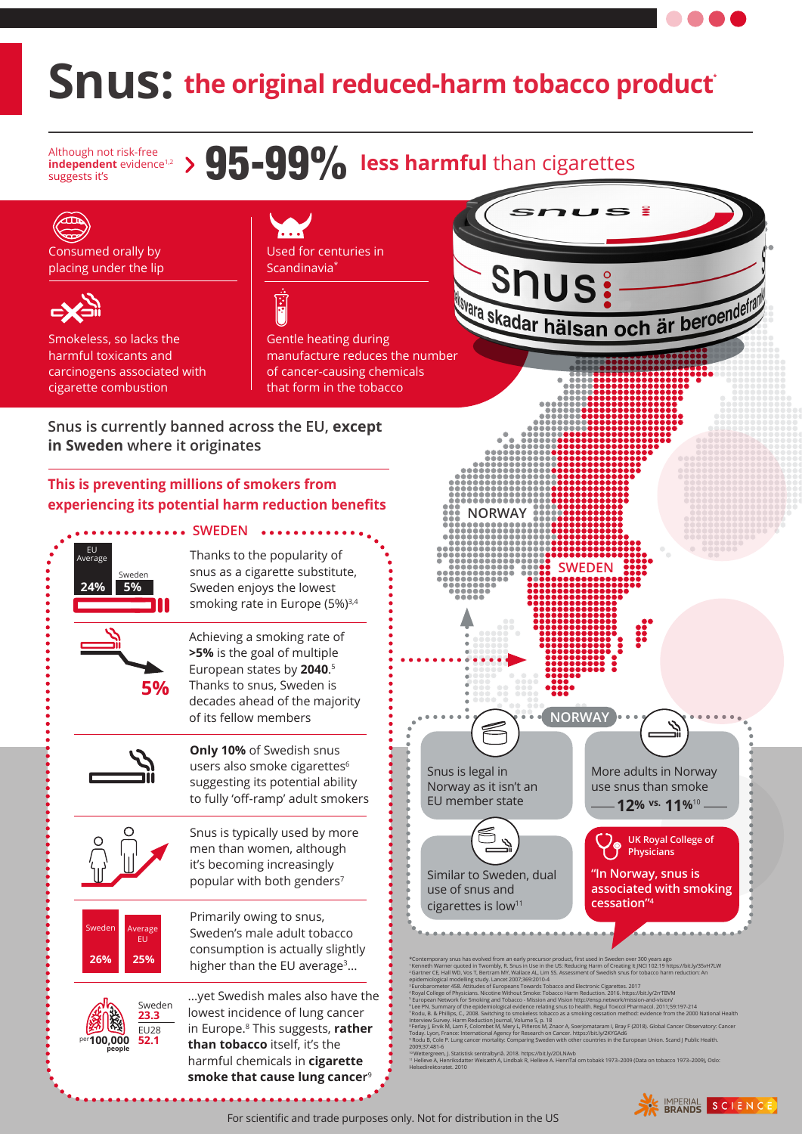## **Snus:** the original reduced-harm tobacco product

Although not risk-free **independent** evidence<sup>1,2</sup>

## Although not risk-free<br>independent evidence<sup>1,2</sup> > 95-99% less harmful than cigarettes



For scientific and trade purposes only. Not for distribution in the US

SCIENCE